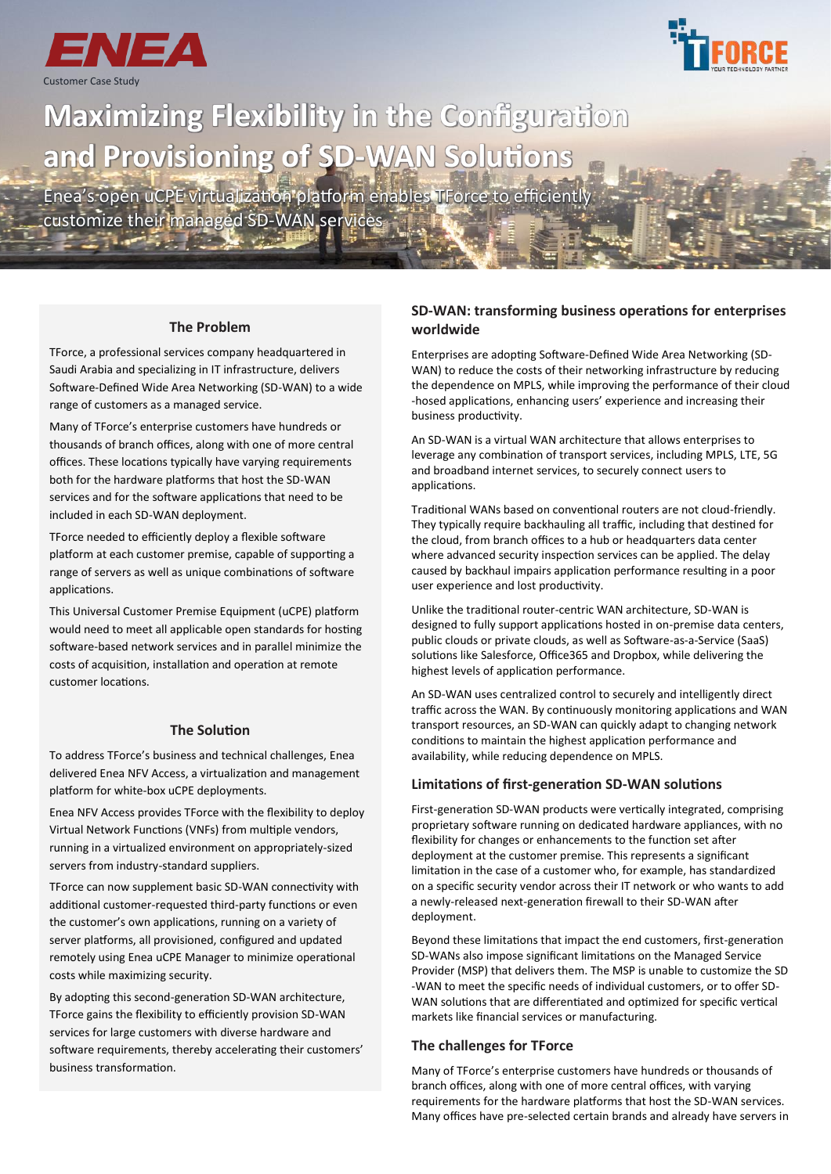



# **Maximizing Flexibility in the Configuration and Provisioning of SD-WAN Solutions**

Enea's open uCPE virtualization platform enables TForce to efficiently customize their managed SD-WAN services

**The Problem**

TForce, a professional services company headquartered in Saudi Arabia and specializing in IT infrastructure, delivers Software-Defined Wide Area Networking (SD-WAN) to a wide range of customers as a managed service.

Many of TForce's enterprise customers have hundreds or thousands of branch offices, along with one of more central offices. These locations typically have varying requirements both for the hardware platforms that host the SD-WAN services and for the software applications that need to be included in each SD-WAN deployment.

TForce needed to efficiently deploy a flexible software platform at each customer premise, capable of supporting a range of servers as well as unique combinations of software applications.

This Universal Customer Premise Equipment (uCPE) platform would need to meet all applicable open standards for hosting software-based network services and in parallel minimize the costs of acquisition, installation and operation at remote customer locations.

### **The Solution**

To address TForce's business and technical challenges, Enea delivered Enea NFV Access, a virtualization and management platform for white-box uCPE deployments.

Enea NFV Access provides TForce with the flexibility to deploy Virtual Network Functions (VNFs) from multiple vendors, running in a virtualized environment on appropriately-sized servers from industry-standard suppliers.

TForce can now supplement basic SD-WAN connectivity with additional customer-requested third-party functions or even the customer's own applications, running on a variety of server platforms, all provisioned, configured and updated remotely using Enea uCPE Manager to minimize operational costs while maximizing security.

By adopting this second-generation SD-WAN architecture, TForce gains the flexibility to efficiently provision SD-WAN services for large customers with diverse hardware and software requirements, thereby accelerating their customers' business transformation.

# **SD-WAN: transforming business operations for enterprises worldwide**

Enterprises are adopting Software-Defined Wide Area Networking (SD-WAN) to reduce the costs of their networking infrastructure by reducing the dependence on MPLS, while improving the performance of their cloud -hosed applications, enhancing users' experience and increasing their business productivity.

An SD-WAN is a virtual WAN architecture that allows enterprises to leverage any combination of transport services, including MPLS, LTE, 5G and broadband internet services, to securely connect users to applications.

Traditional WANs based on conventional routers are not cloud-friendly. They typically require backhauling all traffic, including that destined for the cloud, from branch offices to a hub or headquarters data center where advanced security inspection services can be applied. The delay caused by backhaul impairs application performance resulting in a poor user experience and lost productivity.

Unlike the traditional router-centric WAN architecture, SD-WAN is designed to fully support applications hosted in on-premise data centers, public clouds or private clouds, as well as Software-as-a-Service (SaaS) solutions like Salesforce, Office365 and Dropbox, while delivering the highest levels of application performance.

An SD-WAN uses centralized control to securely and intelligently direct traffic across the WAN. By continuously monitoring applications and WAN transport resources, an SD-WAN can quickly adapt to changing network conditions to maintain the highest application performance and availability, while reducing dependence on MPLS.

#### **Limitations of first-generation SD-WAN solutions**

First-generation SD-WAN products were vertically integrated, comprising proprietary software running on dedicated hardware appliances, with no flexibility for changes or enhancements to the function set after deployment at the customer premise. This represents a significant limitation in the case of a customer who, for example, has standardized on a specific security vendor across their IT network or who wants to add a newly-released next-generation firewall to their SD-WAN after deployment.

Beyond these limitations that impact the end customers, first-generation SD-WANs also impose significant limitations on the Managed Service Provider (MSP) that delivers them. The MSP is unable to customize the SD -WAN to meet the specific needs of individual customers, or to offer SD-WAN solutions that are differentiated and optimized for specific vertical markets like financial services or manufacturing.

#### **The challenges for TForce**

Many of TForce's enterprise customers have hundreds or thousands of branch offices, along with one of more central offices, with varying requirements for the hardware platforms that host the SD-WAN services. Many offices have pre-selected certain brands and already have servers in